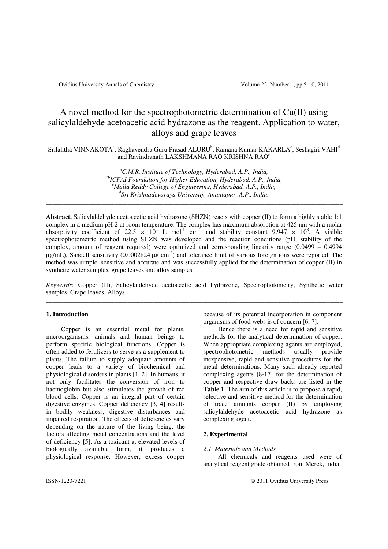# A novel method for the spectrophotometric determination of Cu(II) using salicylaldehyde acetoacetic acid hydrazone as the reagent. Application to water, alloys and grape leaves

Srilalitha VINNAKOTA<sup>a</sup>, Raghavendra Guru Prasad ALURU<sup>b</sup>, Ramana Kumar KAKARLA<sup>c</sup>, Seshagiri VAHI<sup>d</sup> and Ravindranath LAKSHMANA RAO KRISHNA RAO<sup>d</sup>

> *<sup>a</sup>C.M.R. Institute of Technology, Hyderabad, A.P., India, \*bICFAI Foundation for Higher Education, Hyderabad, A.P., India, <sup>c</sup>Malla Reddy College of Engineering, Hyderabad, A.P., India, d Sri Krishnadevaraya University, Anantapur, A.P., India.*

\_\_\_\_\_\_\_\_\_\_\_\_\_\_\_\_\_\_\_\_\_\_\_\_\_\_\_\_\_\_\_\_\_\_\_\_\_\_\_\_\_\_\_\_\_\_\_\_\_\_\_\_\_\_\_\_\_\_\_\_\_\_\_\_\_\_\_\_\_\_\_\_\_\_\_\_\_\_\_\_\_\_\_\_\_\_\_\_\_\_\_

**Abstract.** Salicylaldehyde acetoacetic acid hydrazone (SHZN) reacts with copper (II) to form a highly stable 1:1 complex in a medium pH 2 at room temperature. The complex has maximum absorption at 425 nm with a molar absorptivity coefficient of 22.5  $\times$  10<sup>4</sup> L mol<sup>-1</sup> cm<sup>-1</sup> and stability constant 9.947  $\times$  10<sup>8</sup>. A visible spectrophotometric method using SHZN was developed and the reaction conditions (pH, stability of the complex, amount of reagent required) were optimized and corresponding linearity range (0.0499 – 0.4994  $\mu$ g/mL), Sandell sensitivity (0.0002824  $\mu$ g cm<sup>-2</sup>) and tolerance limit of various foreign ions were reported. The method was simple, sensitive and accurate and was successfully applied for the determination of copper (II) in synthetic water samples, grape leaves and alloy samples.

*Keywords*: Copper (II), Salicylaldehyde acetoacetic acid hydrazone, Spectrophotometry, Synthetic water samples, Grape leaves, Alloys. \_\_\_\_\_\_\_\_\_\_\_\_\_\_\_\_\_\_\_\_\_\_\_\_\_\_\_\_\_\_\_\_\_\_\_\_\_\_\_\_\_\_\_\_\_\_\_\_\_\_\_\_\_\_\_\_\_\_\_\_\_\_\_\_\_\_\_\_\_\_\_\_\_\_\_\_\_\_\_\_\_\_\_\_\_\_\_\_\_\_\_

#### **1. Introduction**

Copper is an essential metal for plants, microorganisms, animals and human beings to perform specific biological functions. Copper is often added to fertilizers to serve as a supplement to plants. The failure to supply adequate amounts of copper leads to a variety of biochemical and physiological disorders in plants [1, 2]. In humans, it not only facilitates the conversion of iron to haemoglobin but also stimulates the growth of red blood cells. Copper is an integral part of certain digestive enzymes. Copper deficiency [3, 4] results in bodily weakness, digestive disturbances and impaired respiration. The effects of deficiencies vary depending on the nature of the living being, the factors affecting metal concentrations and the level of deficiency [5]. As a toxicant at elevated levels of biologically available form, it produces a physiological response. However, excess copper

because of its potential incorporation in component organisms of food webs is of concern [6, 7].

Hence there is a need for rapid and sensitive methods for the analytical determination of copper. When appropriate complexing agents are employed, spectrophotometric methods usually provide inexpensive, rapid and sensitive procedures for the metal determinations. Many such already reported complexing agents [8-17] for the determination of copper and respective draw backs are listed in the **Table 1**. The aim of this article is to propose a rapid, selective and sensitive method for the determination of trace amounts copper (II) by employing salicylaldehyde acetoacetic acid hydrazone as complexing agent.

# **2. Experimental**

# *2.1. Materials and Methods*

All chemicals and reagents used were of analytical reagent grade obtained from Merck, India.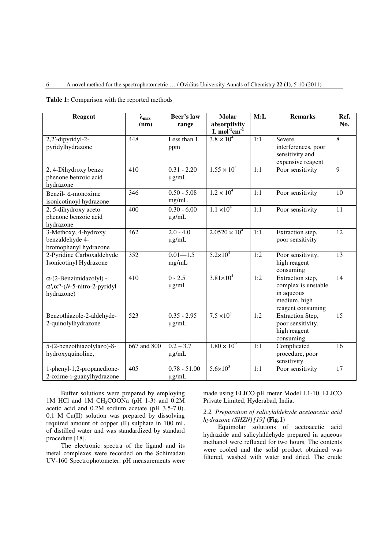# 6 A novel method for the spectrophotometric … / Ovidius University Annals of Chemistry **22 (1)**, 5-10 (2011)

|  | <b>Table 1:</b> Comparison with the reported methods |  |  |  |
|--|------------------------------------------------------|--|--|--|
|--|------------------------------------------------------|--|--|--|

| <b>Reagent</b>                                                                            | $\lambda_{\text{max}}$<br>(nm) | Beer's law<br>range          | Molar<br>absorptivity<br>L mol $1$ cm $1$ | M:L | <b>Remarks</b>                                                                             | Ref.<br>No.     |
|-------------------------------------------------------------------------------------------|--------------------------------|------------------------------|-------------------------------------------|-----|--------------------------------------------------------------------------------------------|-----------------|
| $2,2'$ -dipyridyl-2-<br>pyridylhydrazone                                                  | 448                            | Less than 1<br>ppm           | $3.8 \times 10^{4}$                       | 1:1 | Severe<br>interferences, poor<br>sensitivity and<br>expensive reagent                      | 8               |
| 2, 4-Dihydroxy benzo<br>phenone benzoic acid<br>hydrazone                                 | 410                            | $0.31 - 2.20$<br>$\mu$ g/mL  | $1.55 \times 10^{4}$                      | 1:1 | Poor sensitivity                                                                           | 9               |
| Benzil- a-monoxime<br>isonicotinoyl hydrazone                                             | 346                            | $0.50 - 5.08$<br>mg/mL       | $1.2 \times 10^{4}$                       | 1:1 | Poor sensitivity                                                                           | 10              |
| 2, 5-dihydroxy aceto<br>phenone benzoic acid<br>hydrazone                                 | 400                            | $0.30 - 6.00$<br>$\mu$ g/mL  | $1.1 \times 10^{4}$                       | 1:1 | Poor sensitivity                                                                           | 11              |
| 3-Methoxy, 4-hydroxy<br>benzaldehyde 4-<br>bromophenyl hydrazone                          | $\overline{462}$               | $2.0 - 4.0$<br>$\mu$ g/mL    | $2.0520 \times 10^4$                      | 1:1 | Extraction step,<br>poor sensitivity                                                       | $\overline{12}$ |
| 2-Pyridine Carboxaldehyde<br>Isonicotinyl Hydrazone                                       | 352                            | $0.01 - 1.5$<br>mg/mL        | $5.2 \times 10^{4}$                       | 1:2 | Poor sensitivity,<br>high reagent<br>consuming                                             | 13              |
| $\alpha$ -(2-Benzimidazolyl) -<br>$\alpha', \alpha''$ -(N-5-nitro-2-pyridyl<br>hydrazone) | 410                            | $0 - 2.5$<br>$\mu$ g/mL      | $3.81 \times 10^{4}$                      | 1:2 | Extraction step,<br>complex is unstable<br>in aqueous<br>medium, high<br>reagent consuming | 14              |
| Benzothiazole-2-aldehyde-<br>2-quinolylhydrazone                                          | 523                            | $0.35 - 2.95$<br>$\mu$ g/mL  | $7.5 \times 10^{4}$                       | 1:2 | Extraction Step,<br>poor sensitivity,<br>high reagent<br>consuming                         | 15              |
| 5-(2-benzothiazolylazo)-8-<br>hydroxyquinoline,                                           | 667 and 800                    | $0.2 - 3.7$<br>$\mu$ g/mL    | $1.80 \times 10^{9}$                      | 1:1 | Complicated<br>procedure, poor<br>sensitivity                                              | 16              |
| 1-phenyl-1,2-propanedione-<br>2-oxime-i-guanylhydrazone                                   | 405                            | $0.78 - 51.00$<br>$\mu$ g/mL | $5.6 \times 10^{3}$                       | 1:1 | Poor sensitivity                                                                           | 17              |

Buffer solutions were prepared by employing 1M HCl and 1M CH<sub>3</sub>COONa (pH 1-3) and 0.2M acetic acid and 0.2M sodium acetate (pH 3.5-7.0). 0.1 M Cu(II) solution was prepared by dissolving required amount of copper (II) sulphate in 100 mL of distilled water and was standardized by standard procedure [18].

The electronic spectra of the ligand and its metal complexes were recorded on the Schimadzu UV-160 Spectrophotometer. pH measurements were made using ELICO pH meter Model L1-10, ELICO Private Limited, Hyderabad, India.

# *2.2. Preparation of salicylaldehyde acetoacetic acid hydrazone (SHZN)[19]* (**Fig.1)**

Equimolar solutions of acetoacetic acid hydrazide and salicylaldehyde prepared in aqueous methanol were refluxed for two hours. The contents were cooled and the solid product obtained was filtered, washed with water and dried. The crude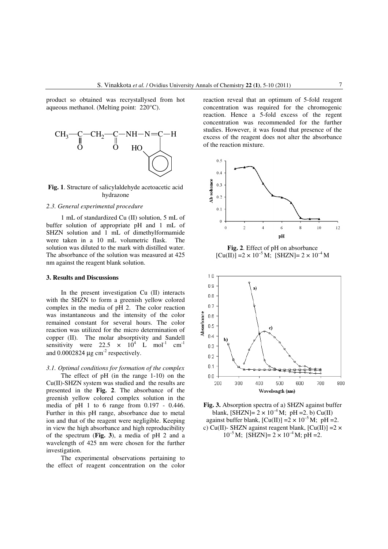product so obtained was recrystallysed from hot aqueous methanol. (Melting point: 220°C).



**Fig. 1**. Structure of salicylaldehyde acetoacetic acid hydrazone

# *2.3. General experimental procedure*

1 mL of standardized Cu (II) solution, 5 mL of buffer solution of appropriate pH and 1 mL of SHZN solution and 1 mL of dimethylformamide were taken in a 10 mL volumetric flask. The solution was diluted to the mark with distilled water. The absorbance of the solution was measured at 425 nm against the reagent blank solution.

## **3. Results and Discussions**

In the present investigation Cu (II) interacts with the SHZN to form a greenish yellow colored complex in the media of pH 2. The color reaction was instantaneous and the intensity of the color remained constant for several hours. The color reaction was utilized for the micro determination of copper (II). The molar absorptivity and Sandell sensitivity were 22.5  $\times$  10<sup>4</sup> L mol<sup>-1</sup> cm<sup>-1</sup> and  $0.0002824 \mu g \text{ cm}^2$  respectively.

*3.1. Optimal conditions for formation of the complex*  The effect of pH (in the range 1-10) on the Cu(II)-SHZN system was studied and the results are presented in the **Fig. 2**. The absorbance of the greenish yellow colored complex solution in the media of pH 1 to 6 range from 0.197 - 0.446. Further in this pH range, absorbance due to metal ion and that of the reagent were negligible. Keeping in view the high absorbance and high reproducibility of the spectrum (**Fig. 3**), a media of pH 2 and a wavelength of 425 nm were chosen for the further investigation.

The experimental observations pertaining to the effect of reagent concentration on the color reaction reveal that an optimum of 5-fold reagent concentration was required for the chromogenic reaction. Hence a 5-fold excess of the regent concentration was recommended for the further studies. However, it was found that presence of the excess of the reagent does not alter the absorbance of the reaction mixture.



**Fig. 2**. Effect of pH on absorbance  $[Cu(II)] = 2 \times 10^{-5} M$ ;  $[SHZN] = 2 \times 10^{-4} M$ 



**Fig. 3.** Absorption spectra of a) SHZN against buffer blank,  $[SHZN] = 2 \times 10^{-4}$  M; pH = 2. b) Cu(II) against buffer blank,  $\text{[Cu(II)]} = 2 \times 10^{-5} \text{M}$ ; pH = 2. c) Cu(II)- SHZN against reagent blank,  $[Cu(II)] = 2 \times$  $10^{-5}$  M; [SHZN]=  $2 \times 10^{-4}$  M; pH = 2.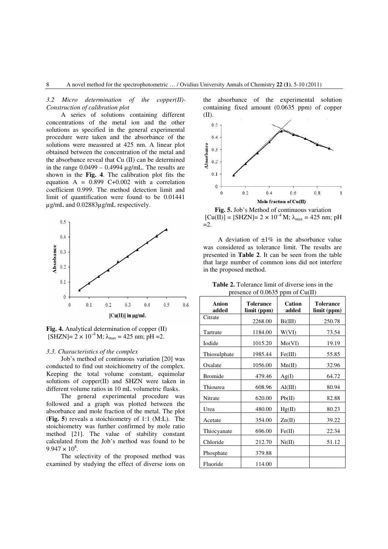*3.2 Micro determination of the copper(II)- Construction of calibration plot* 

A series of solutions containing different concentrations of the metal ion and the other solutions as specified in the general experimental procedure were taken and the absorbance of the solutions were measured at 425 nm. A linear plot obtained between the concentration of the metal and the absorbance reveal that Cu (II) can be determined in the range  $0.0499 - 0.4994 \mu$ g/mL. The results are shown in the **Fig. 4**. The calibration plot fits the equation  $A = 0.899$  C+0.002 with a correlation coefficient 0.999. The method detection limit and limit of quantification were found to be 0.01441 µg/mL and 0.02883µg/mL respectively.



**Fig. 4.** Analytical determination of copper (II)  $[SHZN] = 2 \times 10^{-4}$  M;  $\lambda_{max} = 425$  nm; pH =2.

### *3.3. Characteristics of the complex*

Job's method of continuous variation [20] was conducted to find out stoichiometry of the complex. Keeping the total volume constant, equimolar solutions of copper(II) and SHZN were taken in different volume ratios in 10 mL volumetric flasks.

The general experimental procedure was followed and a graph was plotted between the absorbance and mole fraction of the metal. The plot (**Fig. 5**) reveals a stoichiometry of 1:1 (M:L). The stoichiometry was further confirmed by mole ratio method [21]. The value of stability constant calculated from the Job's method was found to be  $9.947 \times 10^8$ .

The selectivity of the proposed method was examined by studying the effect of diverse ions on the absorbance of the experimental solution containing fixed amount (0.0635 ppm) of copper (II).



**Fig. 5.** Job's Method of continuous variation  $[Cu(II)] = [SHZN] = 2 \times 10^{-4} M$ ;  $\lambda_{max} = 425$  nm; pH  $=2$ .

A deviation of  $\pm 1\%$  in the absorbance value was considered as tolerance limit. The results are presented in **Table 2**. It can be seen from the table that large number of common ions did not interfere in the proposed method.

| Anion<br>added | Tolerance<br>limit (ppm) | Cation<br>added  | <b>Tolerance</b><br>limit (ppm) |
|----------------|--------------------------|------------------|---------------------------------|
| Citrate        | 2268.00                  | Bi(III)          | 250.78                          |
| Tartrate       | 1184.00                  | W(VI)            | 73.54                           |
| <b>I</b> odide | 1015.20                  | Mo(VI)           | 19.19                           |
| Thiosulphate   | 1985.44                  | Fe(III)          | 55.85                           |
| Oxalate        | 1056.00                  | Mn(II)           | 32.96                           |
| <b>Bromide</b> | 479.46                   | Ag(I)            | 64.72                           |
| Thiourea       | 608.96                   | $\text{Al(III)}$ | 80.94                           |
| Nitrate        | 620.00                   | Pb(II)           | 82.88                           |
| Urea           | 480.00                   | Hg(II)           | 80.23                           |
| Acetate        | 354.00                   | Zn(II)           | 39.22                           |
| Thiocyanate    | 696.00                   | Fe(II)           | 22.34                           |
| Chloride       | 212.70                   | Ni(II)           | 51.12                           |
| Phosphate      | 379.88                   |                  |                                 |
| Fluoride       | 114.00                   |                  |                                 |

**Table 2.** Tolerance limit of diverse ions in the presence of 0.0635 ppm of Cu(II)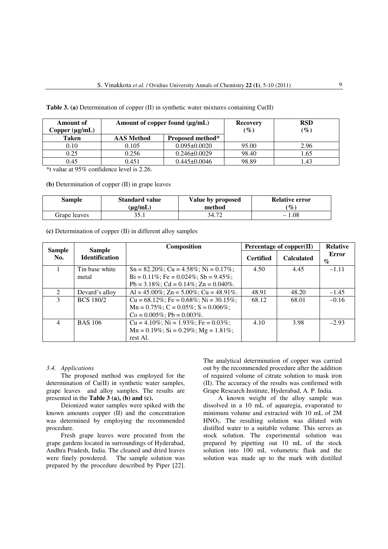| Amount of<br>Copper (µg/mL) | Amount of copper found (µg/mL) |                    | <b>Recovery</b><br>$(\%)$ | <b>RSD</b><br>$(\%)$ |
|-----------------------------|--------------------------------|--------------------|---------------------------|----------------------|
| <b>Taken</b>                | <b>AAS</b> Method              | Proposed method*   |                           |                      |
| 0.10                        | 0.105                          | $0.095 \pm 0.0020$ | 95.00                     | 2.96                 |
| 0.25                        | 0.256                          | $0.246 \pm 0.0029$ | 98.40                     | 1.65                 |
| 0.45                        | 0.451                          | $0.445 \pm 0.0046$ | 98.89                     | .43                  |

**Table 3. (a)** Determination of copper (II) in synthetic water mixtures containing Cu(II)

\*t value at 95% confidence level is 2.26.

**(b)** Determination of copper (II) in grape leaves

| Sample       | <b>Standard value</b> | Value by proposed | <b>Relative error</b>       |
|--------------|-----------------------|-------------------|-----------------------------|
|              | $(\mu$ g/mL)          | method            | $\left( \mathbf{\%}\right)$ |
| Grape leaves | 25                    | 34.72             | $-1.08$                     |

| (c) Determination of copper $(II)$ in different alloy samples |
|---------------------------------------------------------------|
|---------------------------------------------------------------|

| Sample        | <b>Sample</b>         | <b>Composition</b>                               | Percentage of copper(II) |                   | <b>Relative</b>                      |
|---------------|-----------------------|--------------------------------------------------|--------------------------|-------------------|--------------------------------------|
| No.           | <b>Identification</b> |                                                  | <b>Certified</b>         | <b>Calculated</b> | Error<br>$\mathcal{O}_{\mathcal{O}}$ |
|               | Tin base white        | $Sn = 82.20\%$ ; Cu = 4.58%; Ni = 0.17%;         | 4.50                     | 4.45              | $-1.11$                              |
|               | metal                 | $Bi = 0.11\%$ ; Fe = 0.024\%; Sb = 9.45\%;       |                          |                   |                                      |
|               |                       | Pb = $3.18\%$ ; Cd = $0.14\%$ ; Zn = $0.040\%$ . |                          |                   |                                      |
| $\mathcal{L}$ | Devard's alloy        | Al = 45.00%; Zn = 5.00%; Cu = 48.91%.            | 48.91                    | 48.20             | $-1.45$                              |
| 3             | <b>BCS 180/2</b>      | $Cu = 68.12\%$ ; Fe = 0.68%; Ni = 30.15%;        | 68.12                    | 68.01             | $-0.16$                              |
|               |                       | $Mn = 0.75\%$ ; C = 0.05%; S = 0.006%;           |                          |                   |                                      |
|               |                       | $Co = 0.005\%$ ; Pb = 0.003%.                    |                          |                   |                                      |
| 4             | <b>BAS 106</b>        | $Cu = 4.10\%$ ; Ni = 1.93%; Fe = 0.03%;          | 4.10                     | 3.98              | $-2.93$                              |
|               |                       | $Mn = 0.19\%$ ; Si = 0.29%; Mg = 1.81%;          |                          |                   |                                      |
|               |                       | rest Al.                                         |                          |                   |                                      |

### *3.4. Applications*

The proposed method was employed for the determination of Cu(II) in synthetic water samples, grape leaves and alloy samples. The results are presented in the **Table 3 (a), (b) and (c).**

Deionized water samples were spiked with the known amounts copper (II) and the concentration was determined by employing the recommended procedure.

Fresh grape leaves were procured from the grape gardens located in surroundings of Hyderabad, Andhra Pradesh, India. The cleaned and dried leaves were finely powdered. The sample solution was prepared by the procedure described by Piper [22]. The analytical determination of copper was carried out by the recommended procedure after the addition of required volume of citrate solution to mask iron (II). The accuracy of the results was confirmed with Grape Research Institute, Hyderabad, A. P. India.

A known weight of the alloy sample was dissolved in a 10 mL of aquaregia, evaporated to minimum volume and extracted with 10 mL of 2M  $HNO<sub>3</sub>$ . The resulting solution was diluted with distilled water to a suitable volume. This serves as stock solution. The experimental solution was prepared by pipetting out 10 mL of the stock solution into 100 mL volumetric flask and the solution was made up to the mark with distilled